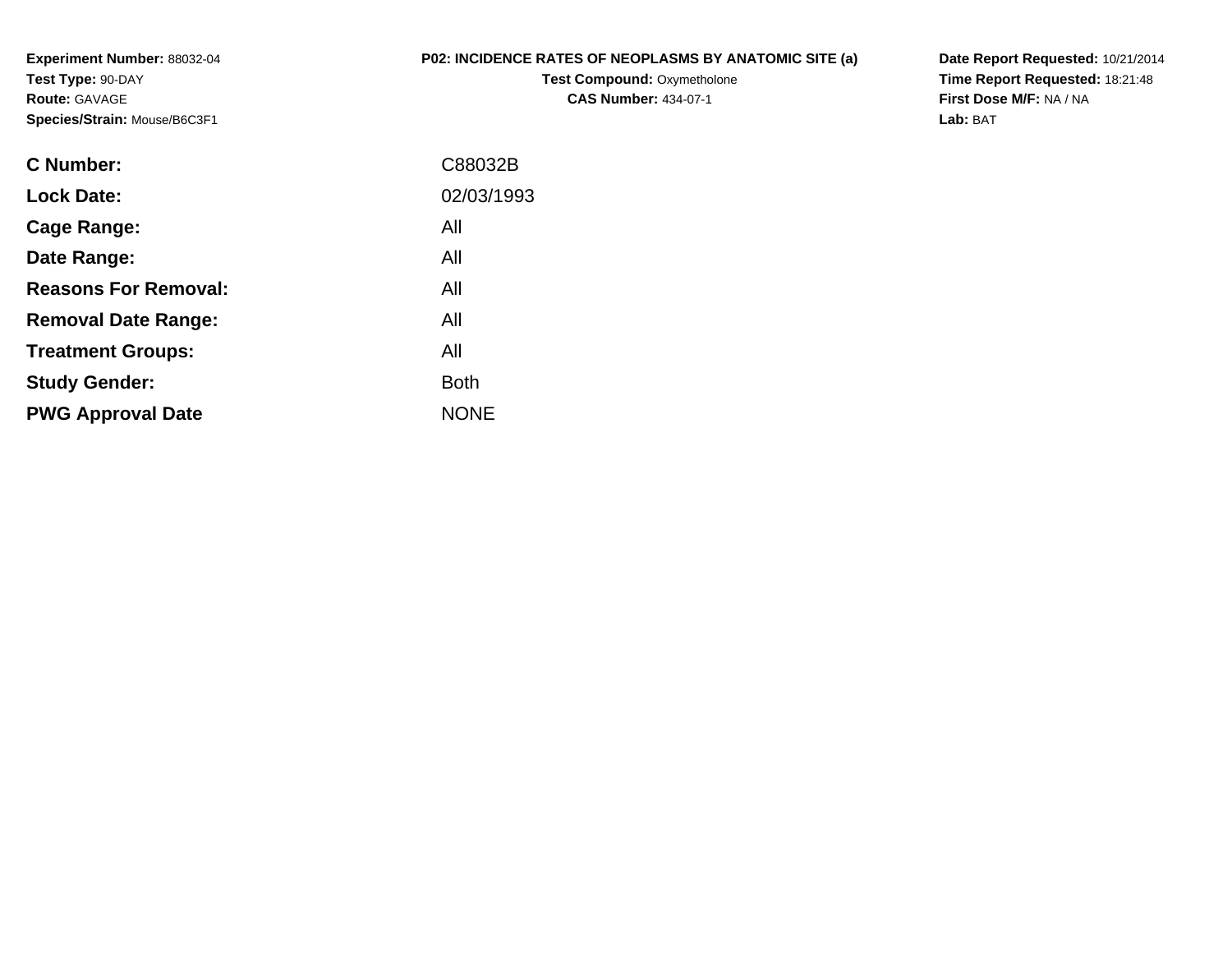**Experiment Number:** 88032-04**Test Type:** 90-DAY**Route:** GAVAGE**Species/Strain:** Mouse/B6C3F1

## **P02: INCIDENCE RATES OF NEOPLASMS BY ANATOMIC SITE (a)**

**Test Compound: Oxymetholone CAS Number:** 434-07-1

**Date Report Requested:** 10/21/2014 **Time Report Requested:** 18:21:48**First Dose M/F:** NA / NA**Lab:** BAT

| C Number:                   | C88032B     |
|-----------------------------|-------------|
| <b>Lock Date:</b>           | 02/03/1993  |
| Cage Range:                 | All         |
| Date Range:                 | All         |
| <b>Reasons For Removal:</b> | All         |
| <b>Removal Date Range:</b>  | All         |
| <b>Treatment Groups:</b>    | All         |
| <b>Study Gender:</b>        | <b>Both</b> |
| <b>PWG Approval Date</b>    | <b>NONE</b> |
|                             |             |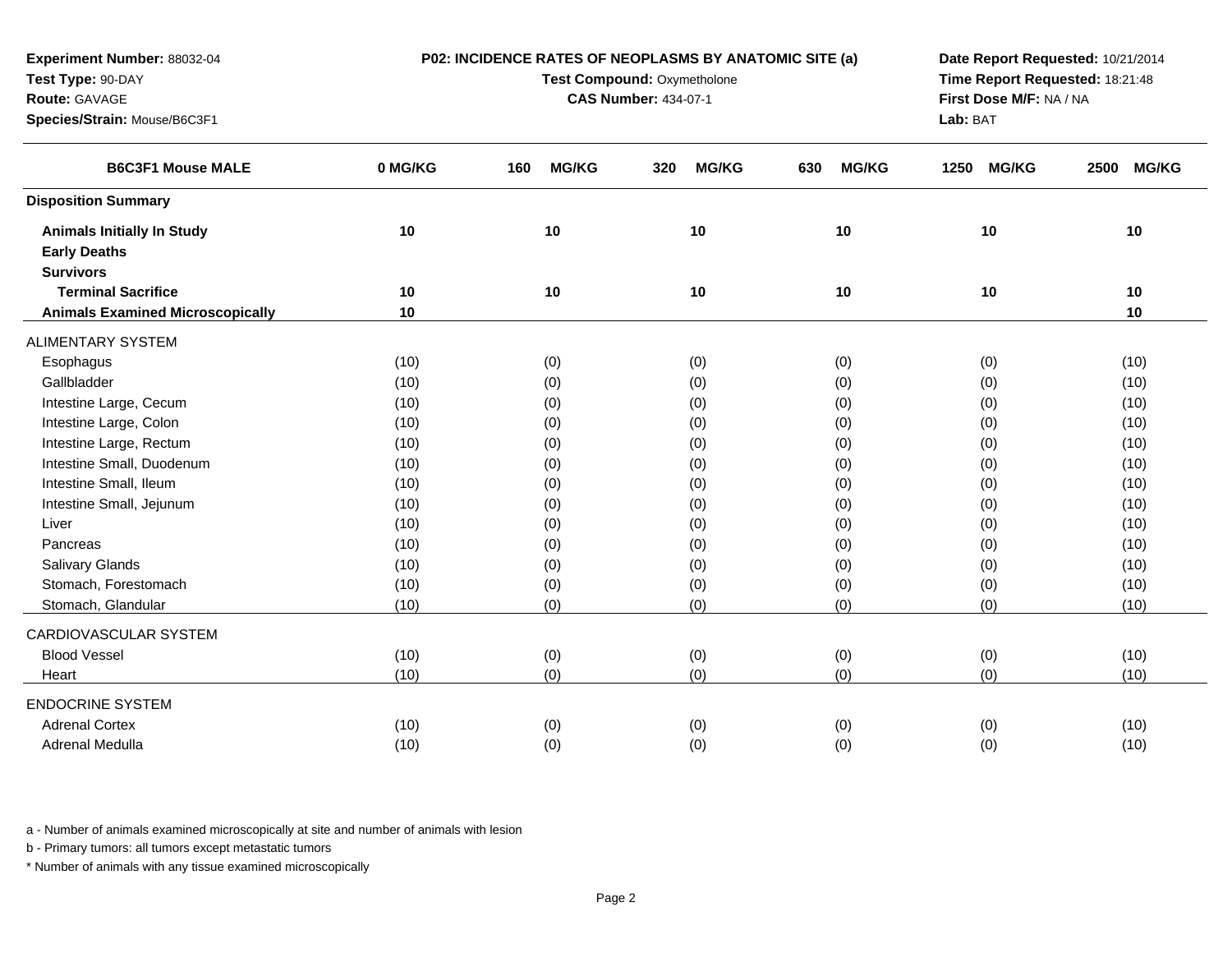| Test Type: 90-DAY<br>Route: GAVAGE<br>Species/Strain: Mouse/B6C3F1           |         | Test Compound: Oxymetholone<br><b>CAS Number: 434-07-1</b> | Time Report Requested: 18:21:48<br>First Dose M/F: NA / NA<br>Lab: BAT |                     |                      |                      |
|------------------------------------------------------------------------------|---------|------------------------------------------------------------|------------------------------------------------------------------------|---------------------|----------------------|----------------------|
| <b>B6C3F1 Mouse MALE</b>                                                     | 0 MG/KG | <b>MG/KG</b><br>160                                        | <b>MG/KG</b><br>320                                                    | 630<br><b>MG/KG</b> | <b>MG/KG</b><br>1250 | 2500<br><b>MG/KG</b> |
| <b>Disposition Summary</b>                                                   |         |                                                            |                                                                        |                     |                      |                      |
| <b>Animals Initially In Study</b><br><b>Early Deaths</b><br><b>Survivors</b> | 10      | 10                                                         | 10                                                                     | 10                  | 10                   | 10                   |
| <b>Terminal Sacrifice</b>                                                    | 10      | 10                                                         | 10                                                                     | 10                  | 10                   | 10                   |
| <b>Animals Examined Microscopically</b>                                      | $10$    |                                                            |                                                                        |                     |                      | 10                   |
| <b>ALIMENTARY SYSTEM</b>                                                     |         |                                                            |                                                                        |                     |                      |                      |
| Esophagus                                                                    | (10)    | (0)                                                        | (0)                                                                    | (0)                 | (0)                  | (10)                 |
| Gallbladder                                                                  | (10)    | (0)                                                        | (0)                                                                    | (0)                 | (0)                  | (10)                 |
| Intestine Large, Cecum                                                       | (10)    | (0)                                                        | (0)                                                                    | (0)                 | (0)                  | (10)                 |
| Intestine Large, Colon                                                       | (10)    | (0)                                                        | (0)                                                                    | (0)                 | (0)                  | (10)                 |
| Intestine Large, Rectum                                                      | (10)    | (0)                                                        | (0)                                                                    | (0)                 | (0)                  | (10)                 |
| Intestine Small, Duodenum                                                    | (10)    | (0)                                                        | (0)                                                                    | (0)                 | (0)                  | (10)                 |
| Intestine Small, Ileum                                                       | (10)    | (0)                                                        | (0)                                                                    | (0)                 | (0)                  | (10)                 |
| Intestine Small, Jejunum                                                     | (10)    | (0)                                                        | (0)                                                                    | (0)                 | (0)                  | (10)                 |
| Liver                                                                        | (10)    | (0)                                                        | (0)                                                                    | (0)                 | (0)                  | (10)                 |
| Pancreas                                                                     | (10)    | (0)                                                        | (0)                                                                    | (0)                 | (0)                  | (10)                 |
| Salivary Glands                                                              | (10)    | (0)                                                        | (0)                                                                    | (0)                 | (0)                  | (10)                 |
| Stomach, Forestomach                                                         | (10)    | (0)                                                        | (0)                                                                    | (0)                 | (0)                  | (10)                 |
| Stomach, Glandular                                                           | (10)    | (0)                                                        | (0)                                                                    | (0)                 | (0)                  | (10)                 |
| CARDIOVASCULAR SYSTEM                                                        |         |                                                            |                                                                        |                     |                      |                      |
| <b>Blood Vessel</b>                                                          | (10)    | (0)                                                        | (0)                                                                    | (0)                 | (0)                  | (10)                 |
| Heart                                                                        | (10)    | (0)                                                        | (0)                                                                    | (0)                 | (0)                  | (10)                 |
| <b>ENDOCRINE SYSTEM</b>                                                      |         |                                                            |                                                                        |                     |                      |                      |
| <b>Adrenal Cortex</b>                                                        | (10)    | (0)                                                        | (0)                                                                    | (0)                 | (0)                  | (10)                 |
| Adrenal Medulla                                                              | (10)    | (0)                                                        | (0)                                                                    | (0)                 | (0)                  | (10)                 |

**P02: INCIDENCE RATES OF NEOPLASMS BY ANATOMIC SITE (a)**

**Date Report Requested:** 10/21/2014

a - Number of animals examined microscopically at site and number of animals with lesion

b - Primary tumors: all tumors except metastatic tumors

**Experiment Number:** 88032-04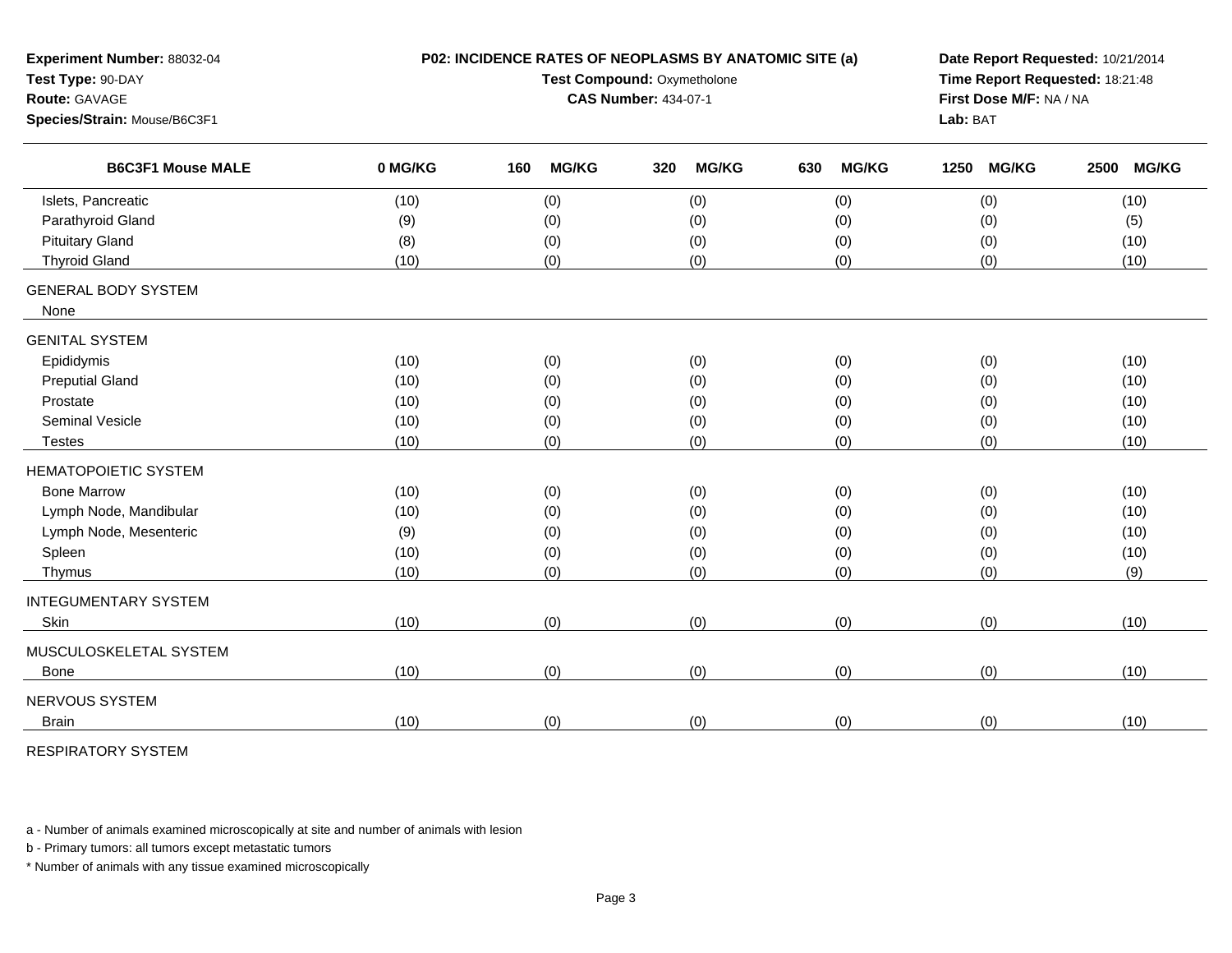| Experiment Number: 88032-04<br>Test Type: 90-DAY<br><b>Route: GAVAGE</b><br>Species/Strain: Mouse/B6C3F1 |         | P02: INCIDENCE RATES OF NEOPLASMS BY ANATOMIC SITE (a)<br>Test Compound: Oxymetholone<br><b>CAS Number: 434-07-1</b> | Date Report Requested: 10/21/2014<br>Time Report Requested: 18:21:48<br>First Dose M/F: NA / NA<br>Lab: BAT |                     |                      |                      |
|----------------------------------------------------------------------------------------------------------|---------|----------------------------------------------------------------------------------------------------------------------|-------------------------------------------------------------------------------------------------------------|---------------------|----------------------|----------------------|
| <b>B6C3F1 Mouse MALE</b>                                                                                 | 0 MG/KG | <b>MG/KG</b><br>160                                                                                                  | 320<br><b>MG/KG</b>                                                                                         | 630<br><b>MG/KG</b> | 1250<br><b>MG/KG</b> | 2500<br><b>MG/KG</b> |
| Islets, Pancreatic                                                                                       | (10)    | (0)                                                                                                                  | (0)                                                                                                         | (0)                 | (0)                  | (10)                 |
| Parathyroid Gland                                                                                        | (9)     | (0)                                                                                                                  | (0)                                                                                                         | (0)                 | (0)                  | (5)                  |
| <b>Pituitary Gland</b>                                                                                   | (8)     | (0)                                                                                                                  | (0)                                                                                                         | (0)                 | (0)                  | (10)                 |
| <b>Thyroid Gland</b>                                                                                     | (10)    | (0)                                                                                                                  | (0)                                                                                                         | (0)                 | (0)                  | (10)                 |
| <b>GENERAL BODY SYSTEM</b><br>None                                                                       |         |                                                                                                                      |                                                                                                             |                     |                      |                      |
| <b>GENITAL SYSTEM</b>                                                                                    |         |                                                                                                                      |                                                                                                             |                     |                      |                      |
| Epididymis                                                                                               | (10)    | (0)                                                                                                                  | (0)                                                                                                         | (0)                 | (0)                  | (10)                 |
| <b>Preputial Gland</b>                                                                                   | (10)    | (0)                                                                                                                  | (0)                                                                                                         | (0)                 | (0)                  | (10)                 |
| Prostate                                                                                                 | (10)    | (0)                                                                                                                  | (0)                                                                                                         | (0)                 | (0)                  | (10)                 |
| Seminal Vesicle                                                                                          | (10)    | (0)                                                                                                                  | (0)                                                                                                         | (0)                 | (0)                  | (10)                 |
| <b>Testes</b>                                                                                            | (10)    | (0)                                                                                                                  | (0)                                                                                                         | (0)                 | (0)                  | (10)                 |
| <b>HEMATOPOIETIC SYSTEM</b>                                                                              |         |                                                                                                                      |                                                                                                             |                     |                      |                      |
| <b>Bone Marrow</b>                                                                                       | (10)    | (0)                                                                                                                  | (0)                                                                                                         | (0)                 | (0)                  | (10)                 |
| Lymph Node, Mandibular                                                                                   | (10)    | (0)                                                                                                                  | (0)                                                                                                         | (0)                 | (0)                  | (10)                 |
| Lymph Node, Mesenteric                                                                                   | (9)     | (0)                                                                                                                  | (0)                                                                                                         | (0)                 | (0)                  | (10)                 |
| Spleen                                                                                                   | (10)    | (0)                                                                                                                  | (0)                                                                                                         | (0)                 | (0)                  | (10)                 |
| Thymus                                                                                                   | (10)    | (0)                                                                                                                  | (0)                                                                                                         | (0)                 | (0)                  | (9)                  |
| <b>INTEGUMENTARY SYSTEM</b>                                                                              |         |                                                                                                                      |                                                                                                             |                     |                      |                      |
| Skin                                                                                                     | (10)    | (0)                                                                                                                  | (0)                                                                                                         | (0)                 | (0)                  | (10)                 |
| MUSCULOSKELETAL SYSTEM                                                                                   |         |                                                                                                                      |                                                                                                             |                     |                      |                      |
| <b>Bone</b>                                                                                              | (10)    | (0)                                                                                                                  | (0)                                                                                                         | (0)                 | (0)                  | (10)                 |
| NERVOUS SYSTEM                                                                                           |         |                                                                                                                      |                                                                                                             |                     |                      |                      |
| <b>Brain</b>                                                                                             | (10)    | (0)                                                                                                                  | (0)                                                                                                         | (0)                 | (0)                  | (10)                 |

RESPIRATORY SYSTEM

a - Number of animals examined microscopically at site and number of animals with lesion

b - Primary tumors: all tumors except metastatic tumors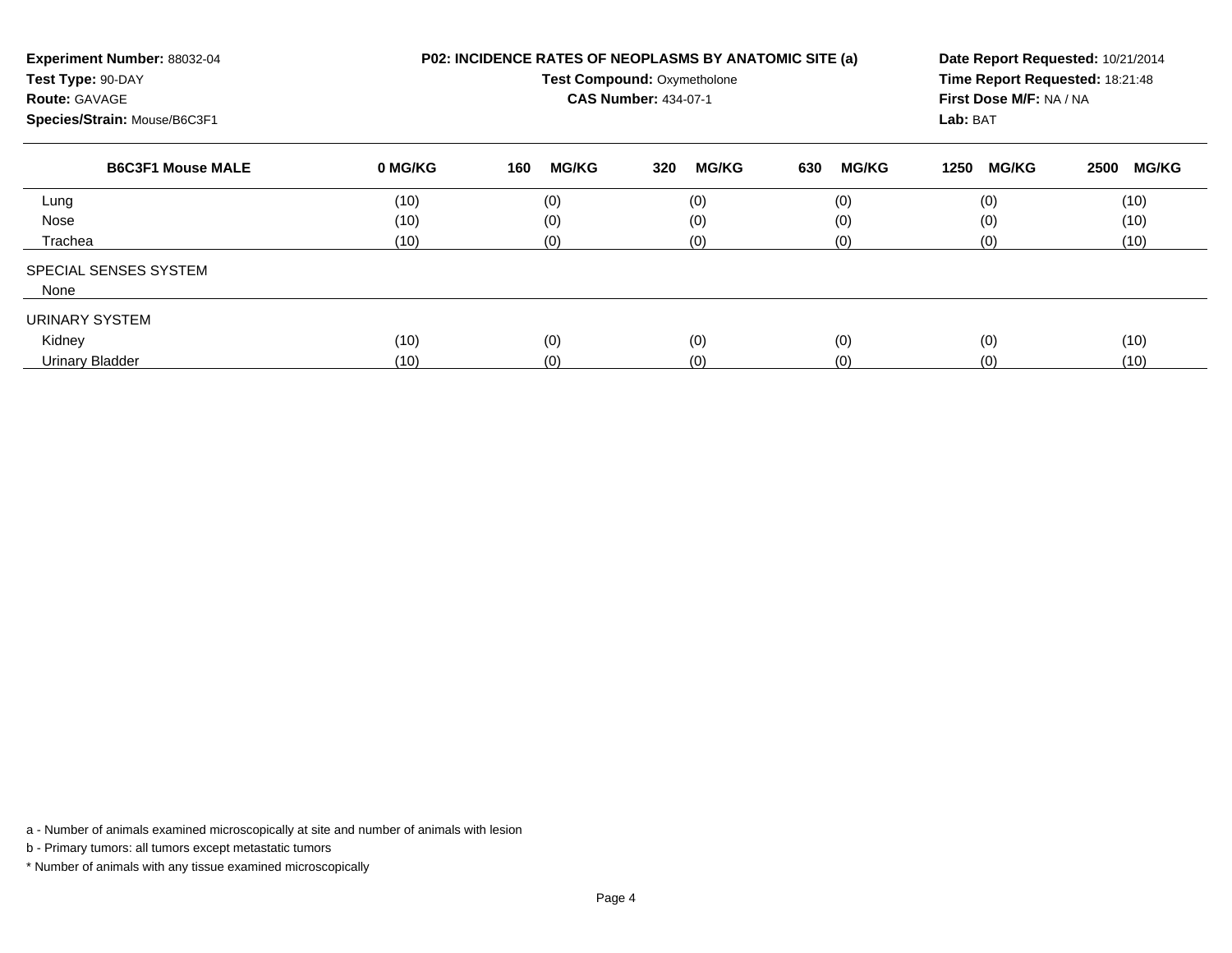| Experiment Number: 88032-04<br>Test Type: 90-DAY<br><b>Route: GAVAGE</b><br>Species/Strain: Mouse/B6C3F1 |         | P02: INCIDENCE RATES OF NEOPLASMS BY ANATOMIC SITE (a)<br><b>Test Compound: Oxymetholone</b><br><b>CAS Number: 434-07-1</b> | Date Report Requested: 10/21/2014<br>Time Report Requested: 18:21:48<br>First Dose M/F: NA / NA<br>Lab: BAT |                     |                      |                      |
|----------------------------------------------------------------------------------------------------------|---------|-----------------------------------------------------------------------------------------------------------------------------|-------------------------------------------------------------------------------------------------------------|---------------------|----------------------|----------------------|
| <b>B6C3F1 Mouse MALE</b>                                                                                 | 0 MG/KG | <b>MG/KG</b><br>160                                                                                                         | <b>MG/KG</b><br>320                                                                                         | 630<br><b>MG/KG</b> | <b>MG/KG</b><br>1250 | <b>MG/KG</b><br>2500 |
| Lung                                                                                                     | (10)    | (0)                                                                                                                         | (0)                                                                                                         | (0)                 | (0)                  | (10)                 |
| Nose                                                                                                     | (10)    | (0)                                                                                                                         | (0)                                                                                                         | (0)                 | (0)                  | (10)                 |
| Trachea                                                                                                  | (10)    | (0)                                                                                                                         | (0)                                                                                                         | (0)                 | (0)                  | (10)                 |
| SPECIAL SENSES SYSTEM                                                                                    |         |                                                                                                                             |                                                                                                             |                     |                      |                      |
| None                                                                                                     |         |                                                                                                                             |                                                                                                             |                     |                      |                      |
| URINARY SYSTEM                                                                                           |         |                                                                                                                             |                                                                                                             |                     |                      |                      |
| Kidney                                                                                                   | (10)    | (0)                                                                                                                         | (0)                                                                                                         | (0)                 | (0)                  | (10)                 |
| <b>Urinary Bladder</b>                                                                                   | (10)    | (0)                                                                                                                         | (0)                                                                                                         | (0)                 | (0)                  | (10)                 |

a - Number of animals examined microscopically at site and number of animals with lesion

b - Primary tumors: all tumors except metastatic tumors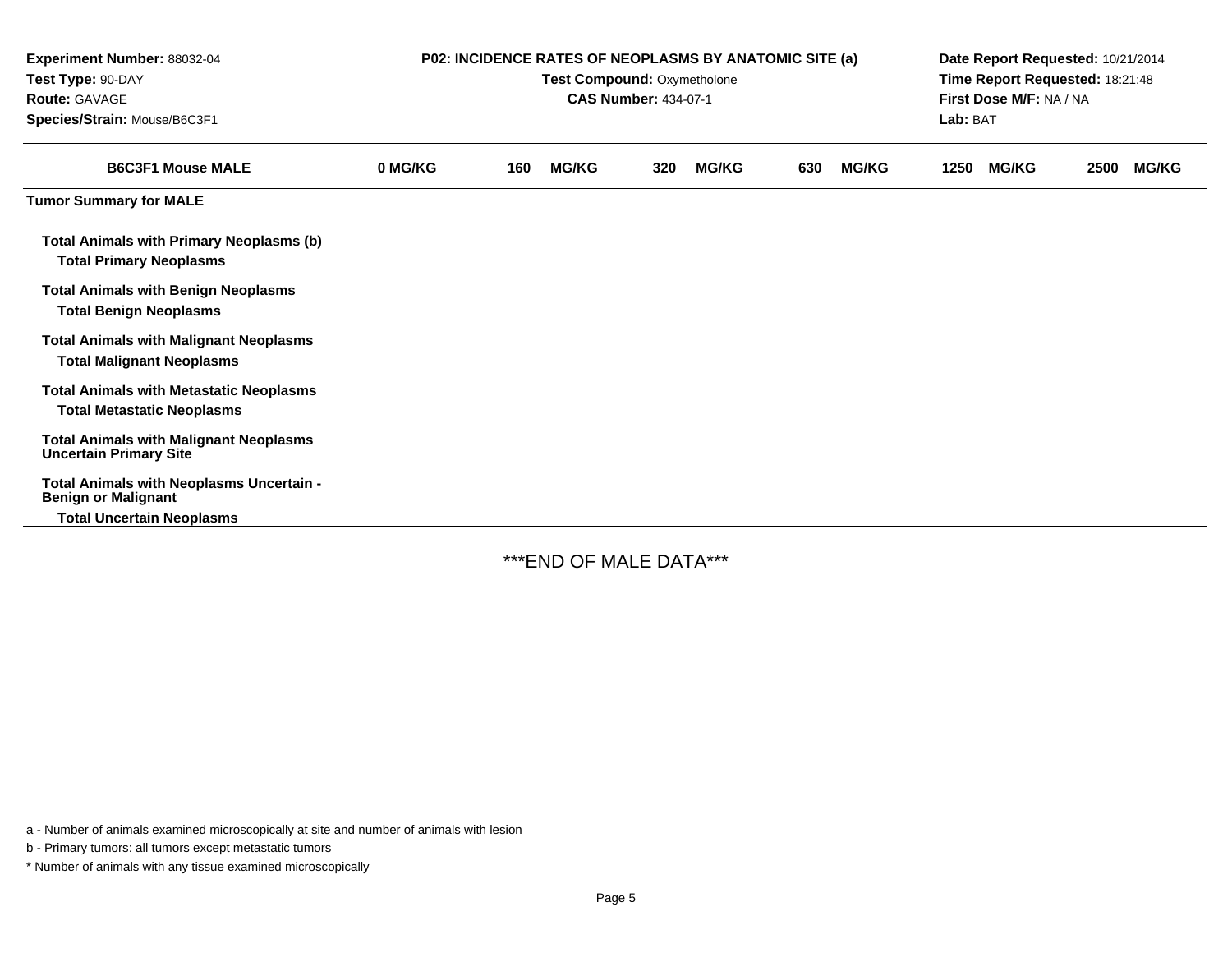| <b>Experiment Number: 88032-04</b><br>Test Type: 90-DAY<br>Route: GAVAGE<br>Species/Strain: Mouse/B6C3F1 | P02: INCIDENCE RATES OF NEOPLASMS BY ANATOMIC SITE (a)<br>Test Compound: Oxymetholone<br><b>CAS Number: 434-07-1</b> |     |              |     |              |     |              | Date Report Requested: 10/21/2014<br>Time Report Requested: 18:21:48<br>First Dose M/F: NA / NA<br>Lab: BAT |              |      |              |
|----------------------------------------------------------------------------------------------------------|----------------------------------------------------------------------------------------------------------------------|-----|--------------|-----|--------------|-----|--------------|-------------------------------------------------------------------------------------------------------------|--------------|------|--------------|
| <b>B6C3F1 Mouse MALE</b>                                                                                 | 0 MG/KG                                                                                                              | 160 | <b>MG/KG</b> | 320 | <b>MG/KG</b> | 630 | <b>MG/KG</b> | 1250                                                                                                        | <b>MG/KG</b> | 2500 | <b>MG/KG</b> |
| <b>Tumor Summary for MALE</b>                                                                            |                                                                                                                      |     |              |     |              |     |              |                                                                                                             |              |      |              |
| <b>Total Animals with Primary Neoplasms (b)</b><br><b>Total Primary Neoplasms</b>                        |                                                                                                                      |     |              |     |              |     |              |                                                                                                             |              |      |              |
| <b>Total Animals with Benign Neoplasms</b><br><b>Total Benign Neoplasms</b>                              |                                                                                                                      |     |              |     |              |     |              |                                                                                                             |              |      |              |
| <b>Total Animals with Malignant Neoplasms</b><br><b>Total Malignant Neoplasms</b>                        |                                                                                                                      |     |              |     |              |     |              |                                                                                                             |              |      |              |
| <b>Total Animals with Metastatic Neoplasms</b><br><b>Total Metastatic Neoplasms</b>                      |                                                                                                                      |     |              |     |              |     |              |                                                                                                             |              |      |              |
| <b>Total Animals with Malignant Neoplasms</b><br><b>Uncertain Primary Site</b>                           |                                                                                                                      |     |              |     |              |     |              |                                                                                                             |              |      |              |
| Total Animals with Neoplasms Uncertain -<br><b>Benign or Malignant</b>                                   |                                                                                                                      |     |              |     |              |     |              |                                                                                                             |              |      |              |
| <b>Total Uncertain Neoplasms</b>                                                                         |                                                                                                                      |     |              |     |              |     |              |                                                                                                             |              |      |              |

\*\*\*END OF MALE DATA\*\*\*

a - Number of animals examined microscopically at site and number of animals with lesion

b - Primary tumors: all tumors except metastatic tumors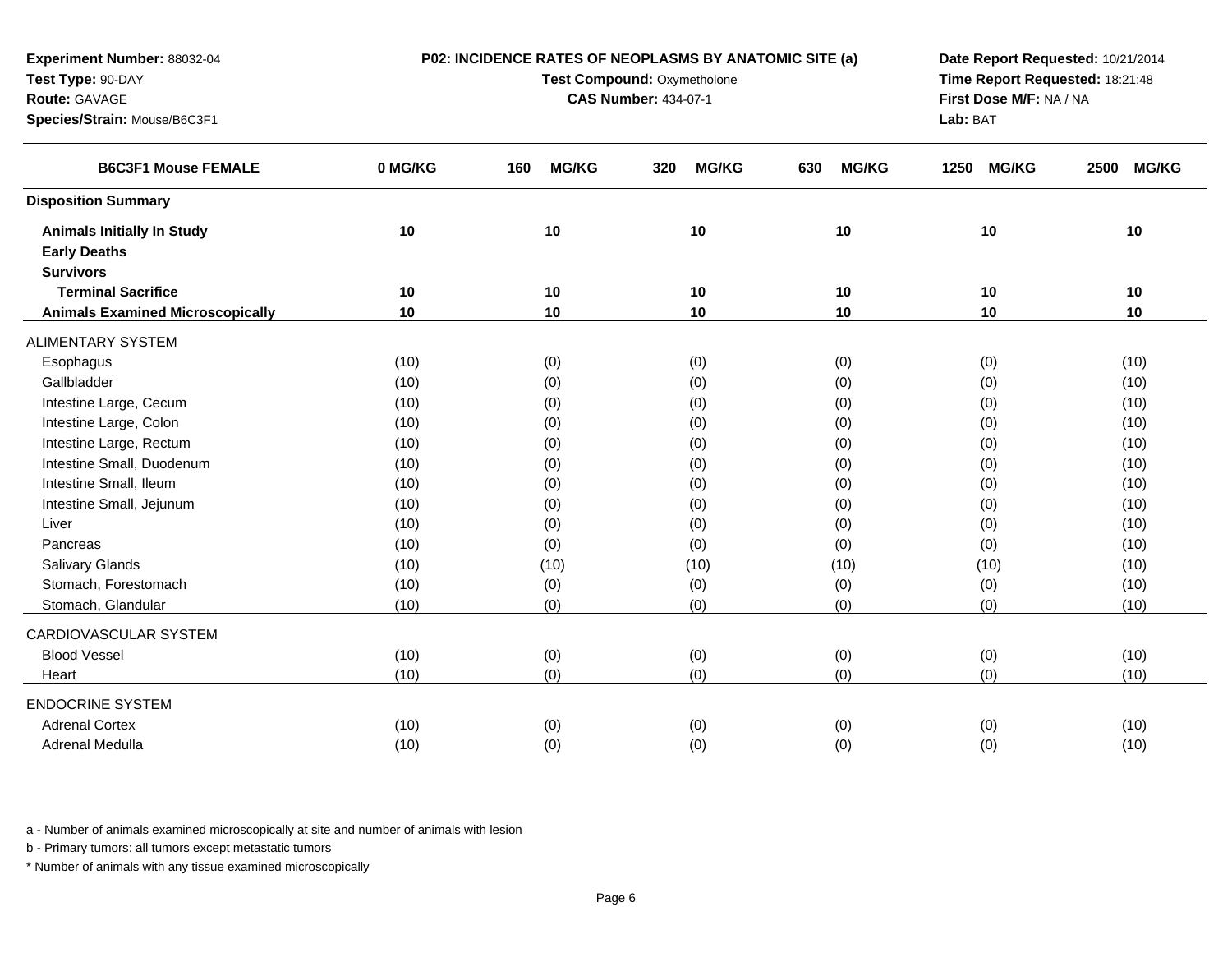| Test Type: 90-DAY                       |                             | Time Report Requested: 18:21:48<br>First Dose M/F: NA / NA |                     |                     |                      |                      |
|-----------------------------------------|-----------------------------|------------------------------------------------------------|---------------------|---------------------|----------------------|----------------------|
| Route: GAVAGE                           | <b>CAS Number: 434-07-1</b> |                                                            |                     |                     |                      |                      |
| Species/Strain: Mouse/B6C3F1            |                             |                                                            |                     |                     | Lab: BAT             |                      |
| <b>B6C3F1 Mouse FEMALE</b>              | 0 MG/KG                     | <b>MG/KG</b><br>160                                        | <b>MG/KG</b><br>320 | <b>MG/KG</b><br>630 | <b>MG/KG</b><br>1250 | <b>MG/KG</b><br>2500 |
| <b>Disposition Summary</b>              |                             |                                                            |                     |                     |                      |                      |
| <b>Animals Initially In Study</b>       | 10                          | 10                                                         | 10                  | 10                  | 10                   | 10                   |
| <b>Early Deaths</b>                     |                             |                                                            |                     |                     |                      |                      |
| <b>Survivors</b>                        |                             |                                                            |                     |                     |                      |                      |
| <b>Terminal Sacrifice</b>               | 10                          | 10                                                         | 10                  | 10                  | 10                   | 10                   |
| <b>Animals Examined Microscopically</b> | 10                          | 10                                                         | 10                  | 10                  | 10                   | 10                   |
| <b>ALIMENTARY SYSTEM</b>                |                             |                                                            |                     |                     |                      |                      |
| Esophagus                               | (10)                        | (0)                                                        | (0)                 | (0)                 | (0)                  | (10)                 |
| Gallbladder                             | (10)                        | (0)                                                        | (0)                 | (0)                 | (0)                  | (10)                 |
| Intestine Large, Cecum                  | (10)                        | (0)                                                        | (0)                 | (0)                 | (0)                  | (10)                 |
| Intestine Large, Colon                  | (10)                        | (0)                                                        | (0)                 | (0)                 | (0)                  | (10)                 |
| Intestine Large, Rectum                 | (10)                        | (0)                                                        | (0)                 | (0)                 | (0)                  | (10)                 |
| Intestine Small, Duodenum               | (10)                        | (0)                                                        | (0)                 | (0)                 | (0)                  | (10)                 |
| Intestine Small, Ileum                  | (10)                        | (0)                                                        | (0)                 | (0)                 | (0)                  | (10)                 |
| Intestine Small, Jejunum                | (10)                        | (0)                                                        | (0)                 | (0)                 | (0)                  | (10)                 |
| Liver                                   | (10)                        | (0)                                                        | (0)                 | (0)                 | (0)                  | (10)                 |
| Pancreas                                | (10)                        | (0)                                                        | (0)                 | (0)                 | (0)                  | (10)                 |
| Salivary Glands                         | (10)                        | (10)                                                       | (10)                | (10)                | (10)                 | (10)                 |
| Stomach, Forestomach                    | (10)                        | (0)                                                        | (0)                 | (0)                 | (0)                  | (10)                 |
| Stomach, Glandular                      | (10)                        | (0)                                                        | (0)                 | (0)                 | (0)                  | (10)                 |
| CARDIOVASCULAR SYSTEM                   |                             |                                                            |                     |                     |                      |                      |
| <b>Blood Vessel</b>                     | (10)                        | (0)                                                        | (0)                 | (0)                 | (0)                  | (10)                 |
| Heart                                   | (10)                        | (0)                                                        | (0)                 | (0)                 | (0)                  | (10)                 |
| <b>ENDOCRINE SYSTEM</b>                 |                             |                                                            |                     |                     |                      |                      |
| <b>Adrenal Cortex</b>                   | (10)                        | (0)                                                        | (0)                 | (0)                 | (0)                  | (10)                 |
| <b>Adrenal Medulla</b>                  | (10)                        | (0)                                                        | (0)                 | (0)                 | (0)                  | (10)                 |

**P02: INCIDENCE RATES OF NEOPLASMS BY ANATOMIC SITE (a)**

**Date Report Requested:** 10/21/2014

a - Number of animals examined microscopically at site and number of animals with lesion

b - Primary tumors: all tumors except metastatic tumors

**Experiment Number:** 88032-04

\* Number of animals with any tissue examined microscopically

a (10) (0) (0) (0) (0) (0) (0) (0) (10)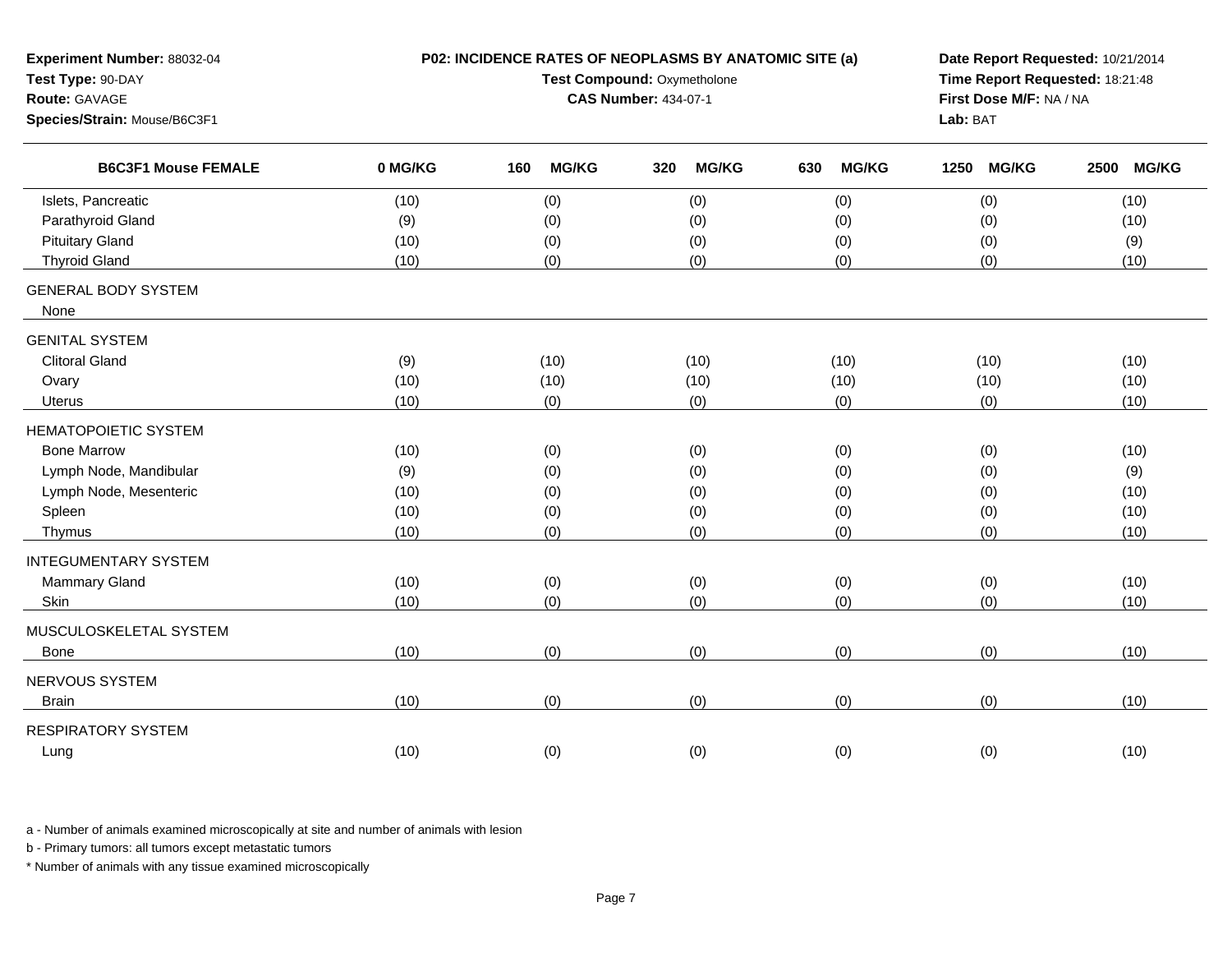| Experiment Number: 88032-04<br>Test Type: 90-DAY<br>Route: GAVAGE<br>Species/Strain: Mouse/B6C3F1 |         | P02: INCIDENCE RATES OF NEOPLASMS BY ANATOMIC SITE (a)<br>Test Compound: Oxymetholone<br><b>CAS Number: 434-07-1</b> | Date Report Requested: 10/21/2014<br>Time Report Requested: 18:21:48<br>First Dose M/F: NA / NA<br>Lab: BAT |                     |                      |                      |
|---------------------------------------------------------------------------------------------------|---------|----------------------------------------------------------------------------------------------------------------------|-------------------------------------------------------------------------------------------------------------|---------------------|----------------------|----------------------|
| <b>B6C3F1 Mouse FEMALE</b>                                                                        | 0 MG/KG | <b>MG/KG</b><br>160                                                                                                  | <b>MG/KG</b><br>320                                                                                         | <b>MG/KG</b><br>630 | <b>MG/KG</b><br>1250 | <b>MG/KG</b><br>2500 |
| Islets, Pancreatic                                                                                | (10)    | (0)                                                                                                                  | (0)                                                                                                         | (0)                 | (0)                  | (10)                 |
| Parathyroid Gland                                                                                 | (9)     | (0)                                                                                                                  | (0)                                                                                                         | (0)                 | (0)                  | (10)                 |
| <b>Pituitary Gland</b>                                                                            | (10)    | (0)                                                                                                                  | (0)                                                                                                         | (0)                 | (0)                  | (9)                  |
| <b>Thyroid Gland</b>                                                                              | (10)    | (0)                                                                                                                  | (0)                                                                                                         | (0)                 | (0)                  | (10)                 |
| <b>GENERAL BODY SYSTEM</b><br>None                                                                |         |                                                                                                                      |                                                                                                             |                     |                      |                      |
| <b>GENITAL SYSTEM</b>                                                                             |         |                                                                                                                      |                                                                                                             |                     |                      |                      |
| <b>Clitoral Gland</b>                                                                             | (9)     | (10)                                                                                                                 | (10)                                                                                                        | (10)                | (10)                 | (10)                 |
| Ovary                                                                                             | (10)    | (10)                                                                                                                 | (10)                                                                                                        | (10)                | (10)                 | (10)                 |
| <b>Uterus</b>                                                                                     | (10)    | (0)                                                                                                                  | (0)                                                                                                         | (0)                 | (0)                  | (10)                 |
| <b>HEMATOPOIETIC SYSTEM</b>                                                                       |         |                                                                                                                      |                                                                                                             |                     |                      |                      |
| <b>Bone Marrow</b>                                                                                | (10)    | (0)                                                                                                                  | (0)                                                                                                         | (0)                 | (0)                  | (10)                 |
| Lymph Node, Mandibular                                                                            | (9)     | (0)                                                                                                                  | (0)                                                                                                         | (0)                 | (0)                  | (9)                  |
| Lymph Node, Mesenteric                                                                            | (10)    | (0)                                                                                                                  | (0)                                                                                                         | (0)                 | (0)                  | (10)                 |
| Spleen                                                                                            | (10)    | (0)                                                                                                                  | (0)                                                                                                         | (0)                 | (0)                  | (10)                 |
| Thymus                                                                                            | (10)    | (0)                                                                                                                  | (0)                                                                                                         | (0)                 | (0)                  | (10)                 |
| <b>INTEGUMENTARY SYSTEM</b>                                                                       |         |                                                                                                                      |                                                                                                             |                     |                      |                      |
| Mammary Gland                                                                                     | (10)    | (0)                                                                                                                  | (0)                                                                                                         | (0)                 | (0)                  | (10)                 |
| Skin                                                                                              | (10)    | (0)                                                                                                                  | (0)                                                                                                         | (0)                 | (0)                  | (10)                 |
| MUSCULOSKELETAL SYSTEM                                                                            |         |                                                                                                                      |                                                                                                             |                     |                      |                      |
| Bone                                                                                              | (10)    | (0)                                                                                                                  | (0)                                                                                                         | (0)                 | (0)                  | (10)                 |
| NERVOUS SYSTEM                                                                                    |         |                                                                                                                      |                                                                                                             |                     |                      |                      |
| <b>Brain</b>                                                                                      | (10)    | (0)                                                                                                                  | (0)                                                                                                         | (0)                 | (0)                  | (10)                 |
| <b>RESPIRATORY SYSTEM</b>                                                                         |         |                                                                                                                      |                                                                                                             |                     |                      |                      |
| Lung                                                                                              | (10)    | (0)                                                                                                                  | (0)                                                                                                         | (0)                 | (0)                  | (10)                 |
|                                                                                                   |         |                                                                                                                      |                                                                                                             |                     |                      |                      |

a - Number of animals examined microscopically at site and number of animals with lesion

b - Primary tumors: all tumors except metastatic tumors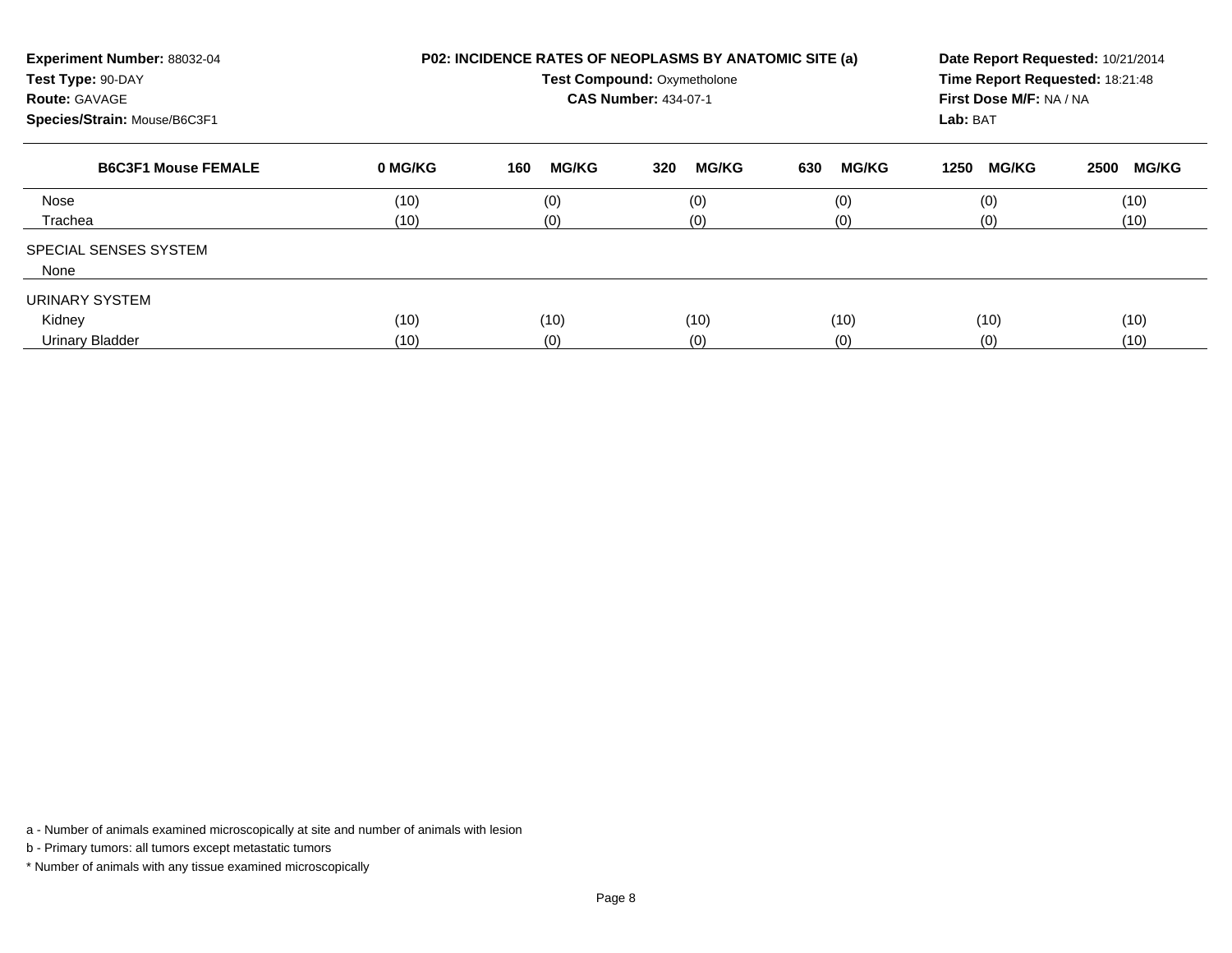| Experiment Number: 88032-04<br>Test Type: 90-DAY<br><b>Route: GAVAGE</b><br>Species/Strain: Mouse/B6C3F1 |         | <b>P02: INCIDENCE RATES OF NEOPLASMS BY ANATOMIC SITE (a)</b><br><b>Test Compound: Oxymetholone</b><br><b>CAS Number: 434-07-1</b> | Date Report Requested: 10/21/2014<br>Time Report Requested: 18:21:48<br>First Dose M/F: NA / NA<br>Lab: BAT |                     |                      |                      |
|----------------------------------------------------------------------------------------------------------|---------|------------------------------------------------------------------------------------------------------------------------------------|-------------------------------------------------------------------------------------------------------------|---------------------|----------------------|----------------------|
| <b>B6C3F1 Mouse FEMALE</b>                                                                               | 0 MG/KG | <b>MG/KG</b><br>160                                                                                                                | <b>MG/KG</b><br>320                                                                                         | 630<br><b>MG/KG</b> | <b>MG/KG</b><br>1250 | <b>MG/KG</b><br>2500 |
| Nose                                                                                                     | (10)    | (0)                                                                                                                                | (0)                                                                                                         | (0)                 | (0)                  | (10)                 |
| Trachea                                                                                                  | (10)    | (0)                                                                                                                                | (0)                                                                                                         | (0)                 | (0)                  | (10)                 |
| <b>SPECIAL SENSES SYSTEM</b><br>None                                                                     |         |                                                                                                                                    |                                                                                                             |                     |                      |                      |
| URINARY SYSTEM                                                                                           |         |                                                                                                                                    |                                                                                                             |                     |                      |                      |
| Kidney                                                                                                   | (10)    | (10)                                                                                                                               | (10)                                                                                                        | (10)                | (10)                 | (10)                 |
| <b>Urinary Bladder</b>                                                                                   | (10)    | (0)                                                                                                                                | (0)                                                                                                         | (0)                 | (0)                  | (10)                 |

a - Number of animals examined microscopically at site and number of animals with lesion

b - Primary tumors: all tumors except metastatic tumors